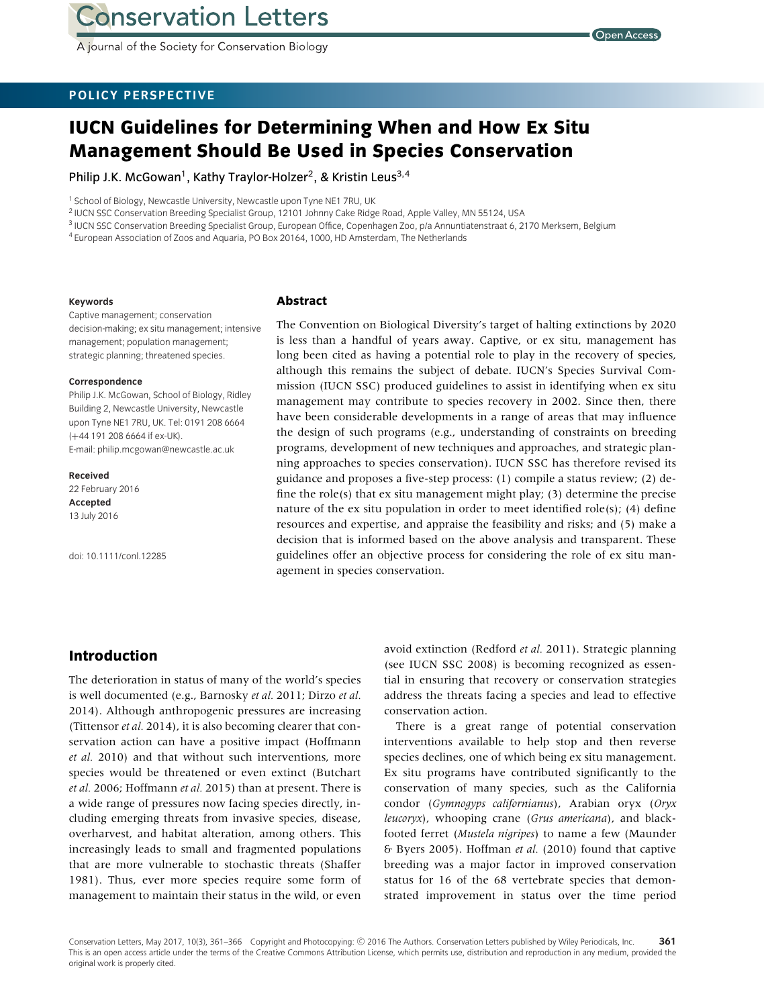A journal of the Society for Conservation Biology

## **POLICY PERSPECTIVE**

# **IUCN Guidelines for Determining When and How Ex Situ Management Should Be Used in Species Conservation**

Philip J.K. McGowan<sup>1</sup>, Kathy Traylor-Holzer<sup>2</sup>, & Kristin Leus<sup>3,4</sup>

<sup>1</sup> School of Biology, Newcastle University, Newcastle upon Tyne NE1 7RU, UK

<sup>2</sup> IUCN SSC Conservation Breeding Specialist Group, 12101 Johnny Cake Ridge Road, Apple Valley, MN 55124, USA

<sup>3</sup> IUCN SSC Conservation Breeding Specialist Group, European Office, Copenhagen Zoo, p/a Annuntiatenstraat 6, 2170 Merksem, Belgium

<sup>4</sup> European Association of Zoos and Aquaria, PO Box 20164, 1000, HD Amsterdam, The Netherlands

#### **Keywords**

## **Abstract**

Captive management; conservation decision-making; ex situ management; intensive management; population management; strategic planning; threatened species.

#### **Correspondence**

Philip J.K. McGowan, School of Biology, Ridley Building 2, Newcastle University, Newcastle upon Tyne NE1 7RU, UK. Tel: 0191 208 6664 (+44 191 208 6664 if ex-UK). E-mail: philip.mcgowan@newcastle.ac.uk

**Received** 22 February 2016 **Accepted** 13 July 2016

doi: 10.1111/conl.12285

The Convention on Biological Diversity's target of halting extinctions by 2020 is less than a handful of years away. Captive, or ex situ, management has long been cited as having a potential role to play in the recovery of species, although this remains the subject of debate. IUCN's Species Survival Commission (IUCN SSC) produced guidelines to assist in identifying when ex situ management may contribute to species recovery in 2002. Since then, there have been considerable developments in a range of areas that may influence the design of such programs (e.g., understanding of constraints on breeding programs, development of new techniques and approaches, and strategic planning approaches to species conservation). IUCN SSC has therefore revised its guidance and proposes a five-step process: (1) compile a status review; (2) define the role(s) that ex situ management might play; (3) determine the precise nature of the ex situ population in order to meet identified role(s); (4) define resources and expertise, and appraise the feasibility and risks; and (5) make a decision that is informed based on the above analysis and transparent. These guidelines offer an objective process for considering the role of ex situ management in species conservation.

#### **Introduction**

The deterioration in status of many of the world's species is well documented (e.g., Barnosky *et al.* 2011; Dirzo *et al.* 2014). Although anthropogenic pressures are increasing (Tittensor *et al.* 2014), it is also becoming clearer that conservation action can have a positive impact (Hoffmann *et al.* 2010) and that without such interventions, more species would be threatened or even extinct (Butchart *et al.* 2006; Hoffmann *et al.* 2015) than at present. There is a wide range of pressures now facing species directly, including emerging threats from invasive species, disease, overharvest, and habitat alteration, among others. This increasingly leads to small and fragmented populations that are more vulnerable to stochastic threats (Shaffer 1981). Thus, ever more species require some form of management to maintain their status in the wild, or even

avoid extinction (Redford *et al.* 2011). Strategic planning (see IUCN SSC 2008) is becoming recognized as essential in ensuring that recovery or conservation strategies address the threats facing a species and lead to effective conservation action.

There is a great range of potential conservation interventions available to help stop and then reverse species declines, one of which being ex situ management. Ex situ programs have contributed significantly to the conservation of many species, such as the California condor (*Gymnogyps californianus*), Arabian oryx (*Oryx leucoryx*), whooping crane (*Grus americana*), and blackfooted ferret (*Mustela nigripes*) to name a few (Maunder & Byers 2005). Hoffman *et al.* (2010) found that captive breeding was a major factor in improved conservation status for 16 of the 68 vertebrate species that demonstrated improvement in status over the time period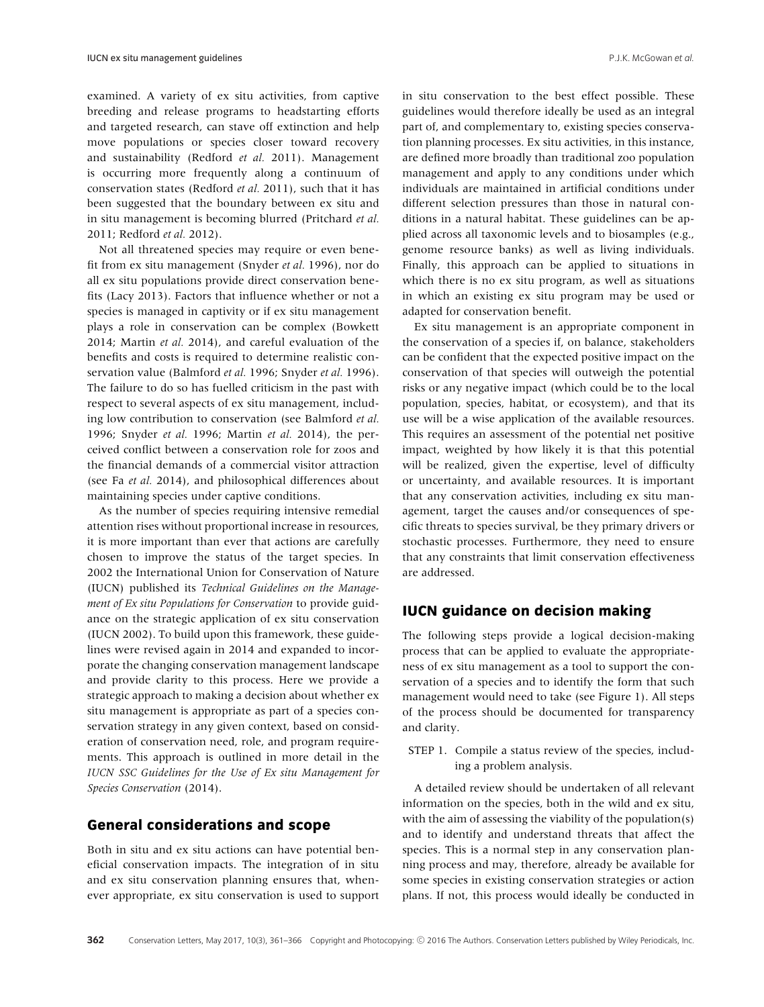examined. A variety of ex situ activities, from captive breeding and release programs to headstarting efforts and targeted research, can stave off extinction and help move populations or species closer toward recovery and sustainability (Redford *et al.* 2011). Management is occurring more frequently along a continuum of conservation states (Redford *et al.* 2011), such that it has been suggested that the boundary between ex situ and in situ management is becoming blurred (Pritchard *et al.* 2011; Redford *et al.* 2012).

Not all threatened species may require or even benefit from ex situ management (Snyder *et al.* 1996), nor do all ex situ populations provide direct conservation benefits (Lacy 2013). Factors that influence whether or not a species is managed in captivity or if ex situ management plays a role in conservation can be complex (Bowkett 2014; Martin *et al.* 2014), and careful evaluation of the benefits and costs is required to determine realistic conservation value (Balmford *et al.* 1996; Snyder *et al.* 1996). The failure to do so has fuelled criticism in the past with respect to several aspects of ex situ management, including low contribution to conservation (see Balmford *et al.* 1996; Snyder *et al.* 1996; Martin *et al.* 2014), the perceived conflict between a conservation role for zoos and the financial demands of a commercial visitor attraction (see Fa *et al.* 2014), and philosophical differences about maintaining species under captive conditions.

As the number of species requiring intensive remedial attention rises without proportional increase in resources, it is more important than ever that actions are carefully chosen to improve the status of the target species. In 2002 the International Union for Conservation of Nature (IUCN) published its *Technical Guidelines on the Management of Ex situ Populations for Conservation* to provide guidance on the strategic application of ex situ conservation (IUCN 2002). To build upon this framework, these guidelines were revised again in 2014 and expanded to incorporate the changing conservation management landscape and provide clarity to this process. Here we provide a strategic approach to making a decision about whether ex situ management is appropriate as part of a species conservation strategy in any given context, based on consideration of conservation need, role, and program requirements. This approach is outlined in more detail in the *IUCN SSC Guidelines for the Use of Ex situ Management for Species Conservation* (2014).

## **General considerations and scope**

Both in situ and ex situ actions can have potential beneficial conservation impacts. The integration of in situ and ex situ conservation planning ensures that, whenever appropriate, ex situ conservation is used to support in situ conservation to the best effect possible. These guidelines would therefore ideally be used as an integral part of, and complementary to, existing species conservation planning processes. Ex situ activities, in this instance, are defined more broadly than traditional zoo population management and apply to any conditions under which individuals are maintained in artificial conditions under different selection pressures than those in natural conditions in a natural habitat. These guidelines can be applied across all taxonomic levels and to biosamples (e.g., genome resource banks) as well as living individuals. Finally, this approach can be applied to situations in which there is no ex situ program, as well as situations in which an existing ex situ program may be used or adapted for conservation benefit.

Ex situ management is an appropriate component in the conservation of a species if, on balance, stakeholders can be confident that the expected positive impact on the conservation of that species will outweigh the potential risks or any negative impact (which could be to the local population, species, habitat, or ecosystem), and that its use will be a wise application of the available resources. This requires an assessment of the potential net positive impact, weighted by how likely it is that this potential will be realized, given the expertise, level of difficulty or uncertainty, and available resources. It is important that any conservation activities, including ex situ management, target the causes and/or consequences of specific threats to species survival, be they primary drivers or stochastic processes. Furthermore, they need to ensure that any constraints that limit conservation effectiveness are addressed.

#### **IUCN guidance on decision making**

The following steps provide a logical decision-making process that can be applied to evaluate the appropriateness of ex situ management as a tool to support the conservation of a species and to identify the form that such management would need to take (see Figure 1). All steps of the process should be documented for transparency and clarity.

STEP 1. Compile a status review of the species, including a problem analysis.

A detailed review should be undertaken of all relevant information on the species, both in the wild and ex situ, with the aim of assessing the viability of the population(s) and to identify and understand threats that affect the species. This is a normal step in any conservation planning process and may, therefore, already be available for some species in existing conservation strategies or action plans. If not, this process would ideally be conducted in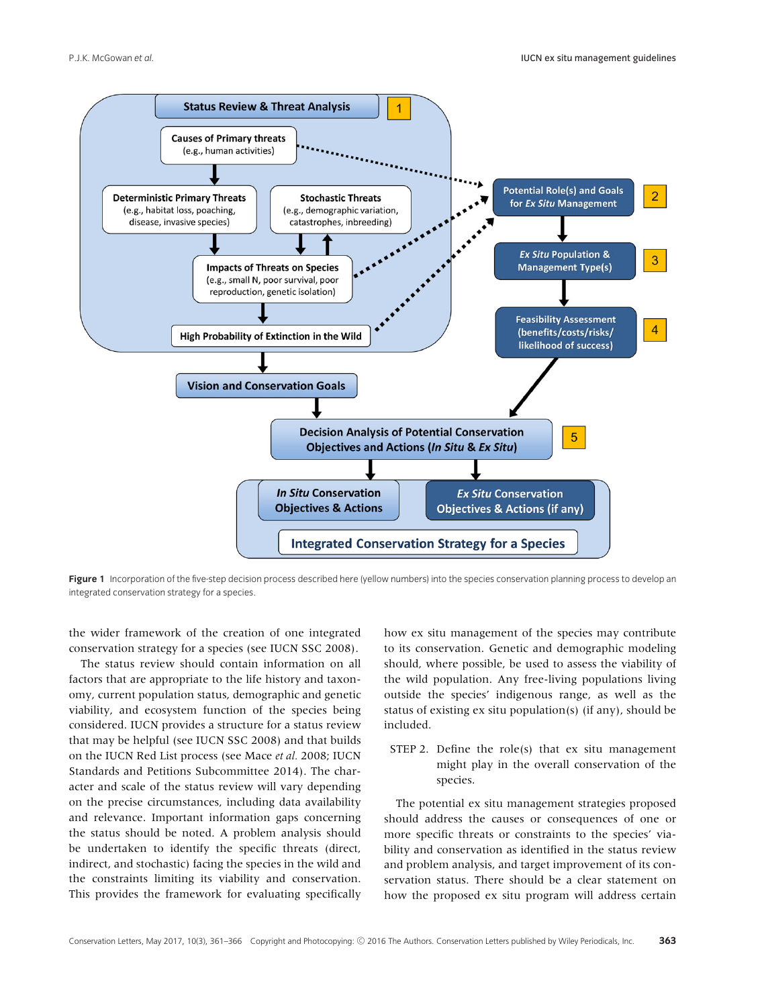

Figure 1 Incorporation of the five-step decision process described here (yellow numbers) into the species conservation planning process to develop an integrated conservation strategy for a species.

the wider framework of the creation of one integrated conservation strategy for a species (see IUCN SSC 2008).

The status review should contain information on all factors that are appropriate to the life history and taxonomy, current population status, demographic and genetic viability, and ecosystem function of the species being considered. IUCN provides a structure for a status review that may be helpful (see IUCN SSC 2008) and that builds on the IUCN Red List process (see Mace *et al.* 2008; IUCN Standards and Petitions Subcommittee 2014). The character and scale of the status review will vary depending on the precise circumstances, including data availability and relevance. Important information gaps concerning the status should be noted. A problem analysis should be undertaken to identify the specific threats (direct, indirect, and stochastic) facing the species in the wild and the constraints limiting its viability and conservation. This provides the framework for evaluating specifically

how ex situ management of the species may contribute to its conservation. Genetic and demographic modeling should, where possible, be used to assess the viability of the wild population. Any free-living populations living outside the species' indigenous range, as well as the status of existing ex situ population(s) (if any), should be included.

STEP 2. Define the role(s) that ex situ management might play in the overall conservation of the species.

The potential ex situ management strategies proposed should address the causes or consequences of one or more specific threats or constraints to the species' viability and conservation as identified in the status review and problem analysis, and target improvement of its conservation status. There should be a clear statement on how the proposed ex situ program will address certain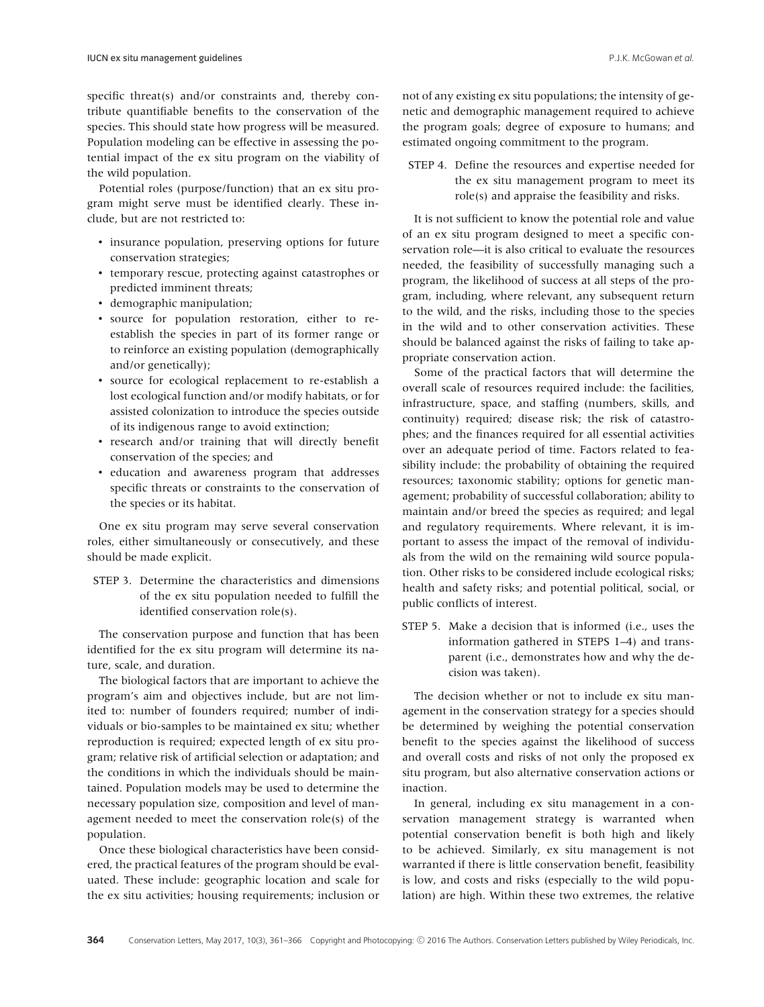specific threat(s) and/or constraints and, thereby contribute quantifiable benefits to the conservation of the species. This should state how progress will be measured. Population modeling can be effective in assessing the potential impact of the ex situ program on the viability of the wild population.

Potential roles (purpose/function) that an ex situ program might serve must be identified clearly. These include, but are not restricted to:

- insurance population, preserving options for future conservation strategies;
- temporary rescue, protecting against catastrophes or predicted imminent threats;
- demographic manipulation;
- source for population restoration, either to reestablish the species in part of its former range or to reinforce an existing population (demographically and/or genetically);
- source for ecological replacement to re-establish a lost ecological function and/or modify habitats, or for assisted colonization to introduce the species outside of its indigenous range to avoid extinction;
- research and/or training that will directly benefit conservation of the species; and
- education and awareness program that addresses specific threats or constraints to the conservation of the species or its habitat.

One ex situ program may serve several conservation roles, either simultaneously or consecutively, and these should be made explicit.

STEP 3. Determine the characteristics and dimensions of the ex situ population needed to fulfill the identified conservation role(s).

The conservation purpose and function that has been identified for the ex situ program will determine its nature, scale, and duration.

The biological factors that are important to achieve the program's aim and objectives include, but are not limited to: number of founders required; number of individuals or bio-samples to be maintained ex situ; whether reproduction is required; expected length of ex situ program; relative risk of artificial selection or adaptation; and the conditions in which the individuals should be maintained. Population models may be used to determine the necessary population size, composition and level of management needed to meet the conservation role(s) of the population.

Once these biological characteristics have been considered, the practical features of the program should be evaluated. These include: geographic location and scale for the ex situ activities; housing requirements; inclusion or not of any existing ex situ populations; the intensity of genetic and demographic management required to achieve the program goals; degree of exposure to humans; and estimated ongoing commitment to the program.

STEP 4. Define the resources and expertise needed for the ex situ management program to meet its role(s) and appraise the feasibility and risks.

It is not sufficient to know the potential role and value of an ex situ program designed to meet a specific conservation role—it is also critical to evaluate the resources needed, the feasibility of successfully managing such a program, the likelihood of success at all steps of the program, including, where relevant, any subsequent return to the wild, and the risks, including those to the species in the wild and to other conservation activities. These should be balanced against the risks of failing to take appropriate conservation action.

Some of the practical factors that will determine the overall scale of resources required include: the facilities, infrastructure, space, and staffing (numbers, skills, and continuity) required; disease risk; the risk of catastrophes; and the finances required for all essential activities over an adequate period of time. Factors related to feasibility include: the probability of obtaining the required resources; taxonomic stability; options for genetic management; probability of successful collaboration; ability to maintain and/or breed the species as required; and legal and regulatory requirements. Where relevant, it is important to assess the impact of the removal of individuals from the wild on the remaining wild source population. Other risks to be considered include ecological risks; health and safety risks; and potential political, social, or public conflicts of interest.

STEP 5. Make a decision that is informed (i.e., uses the information gathered in STEPS 1–4) and transparent (i.e., demonstrates how and why the decision was taken).

The decision whether or not to include ex situ management in the conservation strategy for a species should be determined by weighing the potential conservation benefit to the species against the likelihood of success and overall costs and risks of not only the proposed ex situ program, but also alternative conservation actions or inaction.

In general, including ex situ management in a conservation management strategy is warranted when potential conservation benefit is both high and likely to be achieved. Similarly, ex situ management is not warranted if there is little conservation benefit, feasibility is low, and costs and risks (especially to the wild population) are high. Within these two extremes, the relative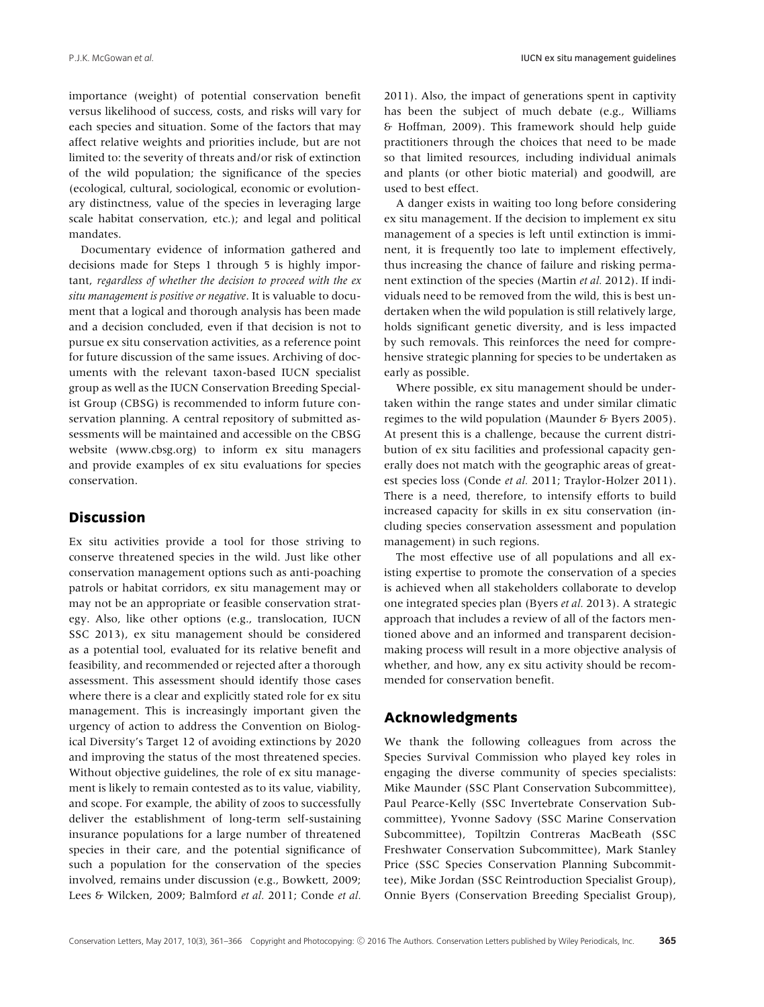importance (weight) of potential conservation benefit versus likelihood of success, costs, and risks will vary for each species and situation. Some of the factors that may affect relative weights and priorities include, but are not limited to: the severity of threats and/or risk of extinction of the wild population; the significance of the species (ecological, cultural, sociological, economic or evolutionary distinctness, value of the species in leveraging large scale habitat conservation, etc.); and legal and political mandates.

Documentary evidence of information gathered and decisions made for Steps 1 through 5 is highly important, *regardless of whether the decision to proceed with the ex situ management is positive or negative*. It is valuable to document that a logical and thorough analysis has been made and a decision concluded, even if that decision is not to pursue ex situ conservation activities, as a reference point for future discussion of the same issues. Archiving of documents with the relevant taxon-based IUCN specialist group as well as the IUCN Conservation Breeding Specialist Group (CBSG) is recommended to inform future conservation planning. A central repository of submitted assessments will be maintained and accessible on the CBSG website [\(www.cbsg.org\)](http://www.cbsg.org) to inform ex situ managers and provide examples of ex situ evaluations for species conservation.

## **Discussion**

Ex situ activities provide a tool for those striving to conserve threatened species in the wild. Just like other conservation management options such as anti-poaching patrols or habitat corridors, ex situ management may or may not be an appropriate or feasible conservation strategy. Also, like other options (e.g., translocation, IUCN SSC 2013), ex situ management should be considered as a potential tool, evaluated for its relative benefit and feasibility, and recommended or rejected after a thorough assessment. This assessment should identify those cases where there is a clear and explicitly stated role for ex situ management. This is increasingly important given the urgency of action to address the Convention on Biological Diversity's Target 12 of avoiding extinctions by 2020 and improving the status of the most threatened species. Without objective guidelines, the role of ex situ management is likely to remain contested as to its value, viability, and scope. For example, the ability of zoos to successfully deliver the establishment of long-term self-sustaining insurance populations for a large number of threatened species in their care, and the potential significance of such a population for the conservation of the species involved, remains under discussion (e.g., Bowkett, 2009; Lees & Wilcken, 2009; Balmford *et al.* 2011; Conde *et al.*

2011). Also, the impact of generations spent in captivity has been the subject of much debate (e.g., Williams & Hoffman, 2009). This framework should help guide practitioners through the choices that need to be made so that limited resources, including individual animals and plants (or other biotic material) and goodwill, are used to best effect.

A danger exists in waiting too long before considering ex situ management. If the decision to implement ex situ management of a species is left until extinction is imminent, it is frequently too late to implement effectively, thus increasing the chance of failure and risking permanent extinction of the species (Martin *et al.* 2012). If individuals need to be removed from the wild, this is best undertaken when the wild population is still relatively large, holds significant genetic diversity, and is less impacted by such removals. This reinforces the need for comprehensive strategic planning for species to be undertaken as early as possible.

Where possible, ex situ management should be undertaken within the range states and under similar climatic regimes to the wild population (Maunder & Byers 2005). At present this is a challenge, because the current distribution of ex situ facilities and professional capacity generally does not match with the geographic areas of greatest species loss (Conde *et al.* 2011; Traylor-Holzer 2011). There is a need, therefore, to intensify efforts to build increased capacity for skills in ex situ conservation (including species conservation assessment and population management) in such regions.

The most effective use of all populations and all existing expertise to promote the conservation of a species is achieved when all stakeholders collaborate to develop one integrated species plan (Byers *et al.* 2013). A strategic approach that includes a review of all of the factors mentioned above and an informed and transparent decisionmaking process will result in a more objective analysis of whether, and how, any ex situ activity should be recommended for conservation benefit.

#### **Acknowledgments**

We thank the following colleagues from across the Species Survival Commission who played key roles in engaging the diverse community of species specialists: Mike Maunder (SSC Plant Conservation Subcommittee), Paul Pearce-Kelly (SSC Invertebrate Conservation Subcommittee), Yvonne Sadovy (SSC Marine Conservation Subcommittee), Topiltzin Contreras MacBeath (SSC Freshwater Conservation Subcommittee), Mark Stanley Price (SSC Species Conservation Planning Subcommittee), Mike Jordan (SSC Reintroduction Specialist Group), Onnie Byers (Conservation Breeding Specialist Group),